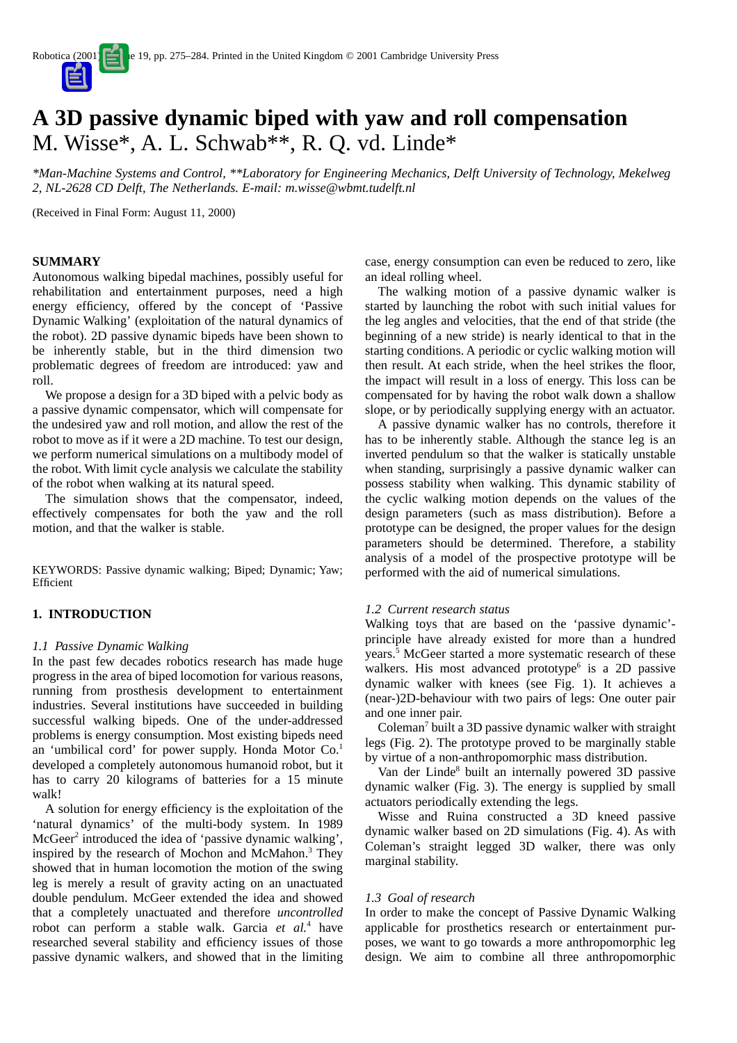# **A 3D passive dynamic biped with yaw and roll compensation** M. Wisse\*, A. L. Schwab\*\*, R. Q. vd. Linde\*

*\*Man-Machine Systems and Control, \*\*Laboratory for Engineering Mechanics, Delft University of Technology, Mekelweg 2, NL-2628 CD Delft, The Netherlands. E-mail: m.wisse@wbmt.tudelft.nl*

(Received in Final Form: August 11, 2000)

## **SUMMARY**

Autonomous walking bipedal machines, possibly useful for rehabilitation and entertainment purposes, need a high energy efficiency, offered by the concept of 'Passive Dynamic Walking' (exploitation of the natural dynamics of the robot). 2D passive dynamic bipeds have been shown to be inherently stable, but in the third dimension two problematic degrees of freedom are introduced: yaw and roll.

We propose a design for a 3D biped with a pelvic body as a passive dynamic compensator, which will compensate for the undesired yaw and roll motion, and allow the rest of the robot to move as if it were a 2D machine. To test our design, we perform numerical simulations on a multibody model of the robot. With limit cycle analysis we calculate the stability of the robot when walking at its natural speed.

The simulation shows that the compensator, indeed, effectively compensates for both the yaw and the roll motion, and that the walker is stable.

KEYWORDS: Passive dynamic walking; Biped; Dynamic; Yaw; Efficient

## **1. INTRODUCTION**

## *1.1 Passive Dynamic Walking*

In the past few decades robotics research has made huge progress in the area of biped locomotion for various reasons, running from prosthesis development to entertainment industries. Several institutions have succeeded in building successful walking bipeds. One of the under-addressed problems is energy consumption. Most existing bipeds need an 'umbilical cord' for power supply. Honda Motor Co.<sup>1</sup> developed a completely autonomous humanoid robot, but it has to carry 20 kilograms of batteries for a 15 minute walk!

A solution for energy efficiency is the exploitation of the 'natural dynamics' of the multi-body system. In 1989 McGeer<sup>2</sup> introduced the idea of 'passive dynamic walking', inspired by the research of Mochon and McMahon.<sup>3</sup> They showed that in human locomotion the motion of the swing leg is merely a result of gravity acting on an unactuated double pendulum. McGeer extended the idea and showed that a completely unactuated and therefore *uncontrolled* robot can perform a stable walk. Garcia *et al.*<sup>4</sup> have researched several stability and efficiency issues of those passive dynamic walkers, and showed that in the limiting case, energy consumption can even be reduced to zero, like an ideal rolling wheel.

The walking motion of a passive dynamic walker is started by launching the robot with such initial values for the leg angles and velocities, that the end of that stride (the beginning of a new stride) is nearly identical to that in the starting conditions. A periodic or cyclic walking motion will then result. At each stride, when the heel strikes the floor, the impact will result in a loss of energy. This loss can be compensated for by having the robot walk down a shallow slope, or by periodically supplying energy with an actuator.

A passive dynamic walker has no controls, therefore it has to be inherently stable. Although the stance leg is an inverted pendulum so that the walker is statically unstable when standing, surprisingly a passive dynamic walker can possess stability when walking. This dynamic stability of the cyclic walking motion depends on the values of the design parameters (such as mass distribution). Before a prototype can be designed, the proper values for the design parameters should be determined. Therefore, a stability analysis of a model of the prospective prototype will be performed with the aid of numerical simulations.

#### *1.2 Current research status*

Walking toys that are based on the 'passive dynamic' principle have already existed for more than a hundred years.<sup>5</sup> McGeer started a more systematic research of these walkers. His most advanced prototype<sup>6</sup> is a 2D passive dynamic walker with knees (see Fig. 1). It achieves a (near-)2D-behaviour with two pairs of legs: One outer pair and one inner pair.

Coleman7 built a 3D passive dynamic walker with straight legs (Fig. 2). The prototype proved to be marginally stable by virtue of a non-anthropomorphic mass distribution.

Van der Linde<sup>8</sup> built an internally powered 3D passive dynamic walker (Fig. 3). The energy is supplied by small actuators periodically extending the legs.

Wisse and Ruina constructed a 3D kneed passive dynamic walker based on 2D simulations (Fig. 4). As with Coleman's straight legged 3D walker, there was only marginal stability.

#### *1.3 Goal of research*

In order to make the concept of Passive Dynamic Walking applicable for prosthetics research or entertainment purposes, we want to go towards a more anthropomorphic leg design. We aim to combine all three anthropomorphic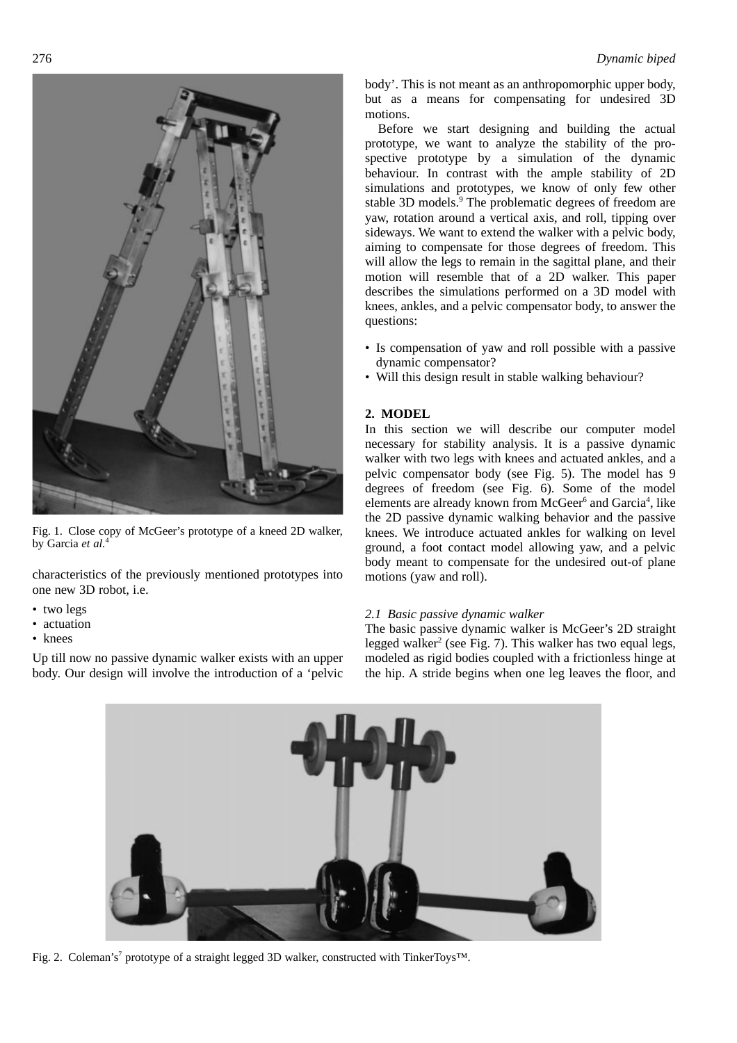

Fig. 1. Close copy of McGeer's prototype of a kneed 2D walker, by Garcia et al.<sup>4</sup>

characteristics of the previously mentioned prototypes into one new 3D robot, i.e.

- two legs
- actuation
- knees

Up till now no passive dynamic walker exists with an upper body. Our design will involve the introduction of a 'pelvic body'. This is not meant as an anthropomorphic upper body, but as a means for compensating for undesired 3D motions.

Before we start designing and building the actual prototype, we want to analyze the stability of the prospective prototype by a simulation of the dynamic behaviour. In contrast with the ample stability of 2D simulations and prototypes, we know of only few other stable 3D models.<sup>9</sup> The problematic degrees of freedom are yaw, rotation around a vertical axis, and roll, tipping over sideways. We want to extend the walker with a pelvic body, aiming to compensate for those degrees of freedom. This will allow the legs to remain in the sagittal plane, and their motion will resemble that of a 2D walker. This paper describes the simulations performed on a 3D model with knees, ankles, and a pelvic compensator body, to answer the questions:

- Is compensation of yaw and roll possible with a passive dynamic compensator?
- Will this design result in stable walking behaviour?

## **2. MODEL**

In this section we will describe our computer model necessary for stability analysis. It is a passive dynamic walker with two legs with knees and actuated ankles, and a pelvic compensator body (see Fig. 5). The model has 9 degrees of freedom (see Fig. 6). Some of the model elements are already known from  ${\rm McGeer}^6$  and  ${\rm Garcia}^4,$  like the 2D passive dynamic walking behavior and the passive knees. We introduce actuated ankles for walking on level ground, a foot contact model allowing yaw, and a pelvic body meant to compensate for the undesired out-of plane motions (yaw and roll).

## *2.1 Basic passive dynamic walker*

The basic passive dynamic walker is McGeer's 2D straight legged walker<sup>2</sup> (see Fig. 7). This walker has two equal legs, modeled as rigid bodies coupled with a frictionless hinge at the hip. A stride begins when one leg leaves the floor, and



Fig. 2. Coleman's<sup>7</sup> prototype of a straight legged 3D walker, constructed with TinkerToys™.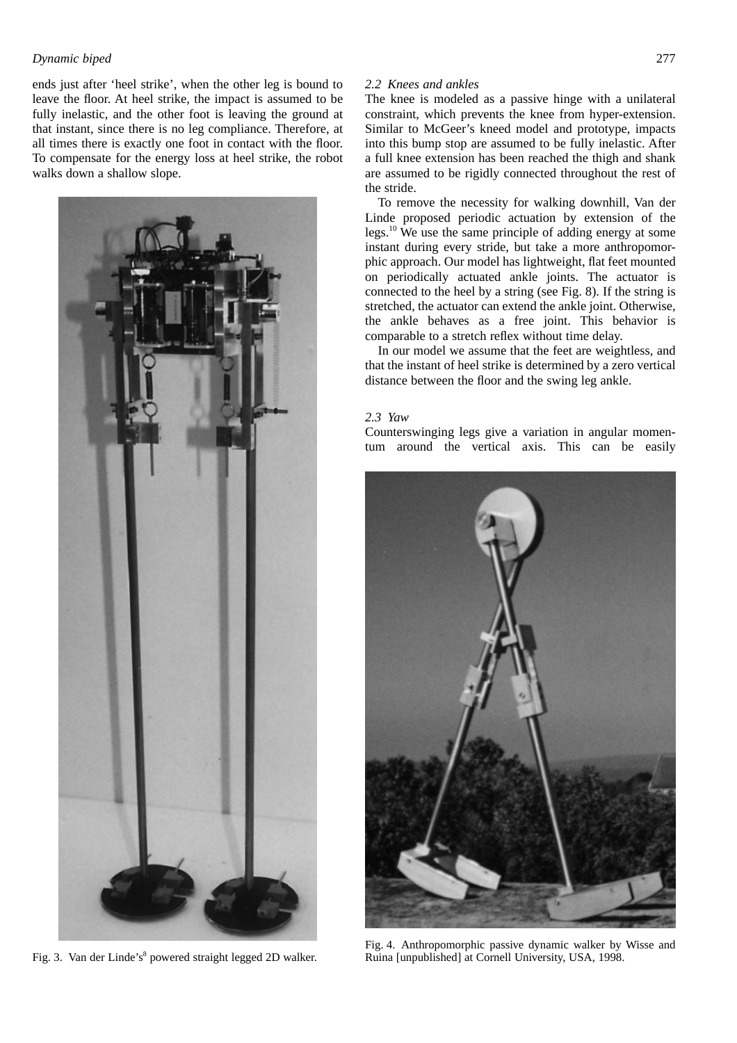## *Dynamic biped* 277

ends just after 'heel strike', when the other leg is bound to leave the floor. At heel strike, the impact is assumed to be fully inelastic, and the other foot is leaving the ground at that instant, since there is no leg compliance. Therefore, at all times there is exactly one foot in contact with the floor. To compensate for the energy loss at heel strike, the robot walks down a shallow slope.



Fig. 3. Van der Linde's<sup>8</sup> powered straight legged 2D walker.

## *2.2 Knees and ankles*

The knee is modeled as a passive hinge with a unilateral constraint, which prevents the knee from hyper-extension. Similar to McGeer's kneed model and prototype, impacts into this bump stop are assumed to be fully inelastic. After a full knee extension has been reached the thigh and shank are assumed to be rigidly connected throughout the rest of the stride.

To remove the necessity for walking downhill, Van der Linde proposed periodic actuation by extension of the legs.10 We use the same principle of adding energy at some instant during every stride, but take a more anthropomorphic approach. Our model has lightweight, flat feet mounted on periodically actuated ankle joints. The actuator is connected to the heel by a string (see Fig. 8). If the string is stretched, the actuator can extend the ankle joint. Otherwise, the ankle behaves as a free joint. This behavior is comparable to a stretch reflex without time delay.

In our model we assume that the feet are weightless, and that the instant of heel strike is determined by a zero vertical distance between the floor and the swing leg ankle.

## *2.3 Yaw*

Counterswinging legs give a variation in angular momentum around the vertical axis. This can be easily



Fig. 4. Anthropomorphic passive dynamic walker by Wisse and Ruina [unpublished] at Cornell University, USA, 1998.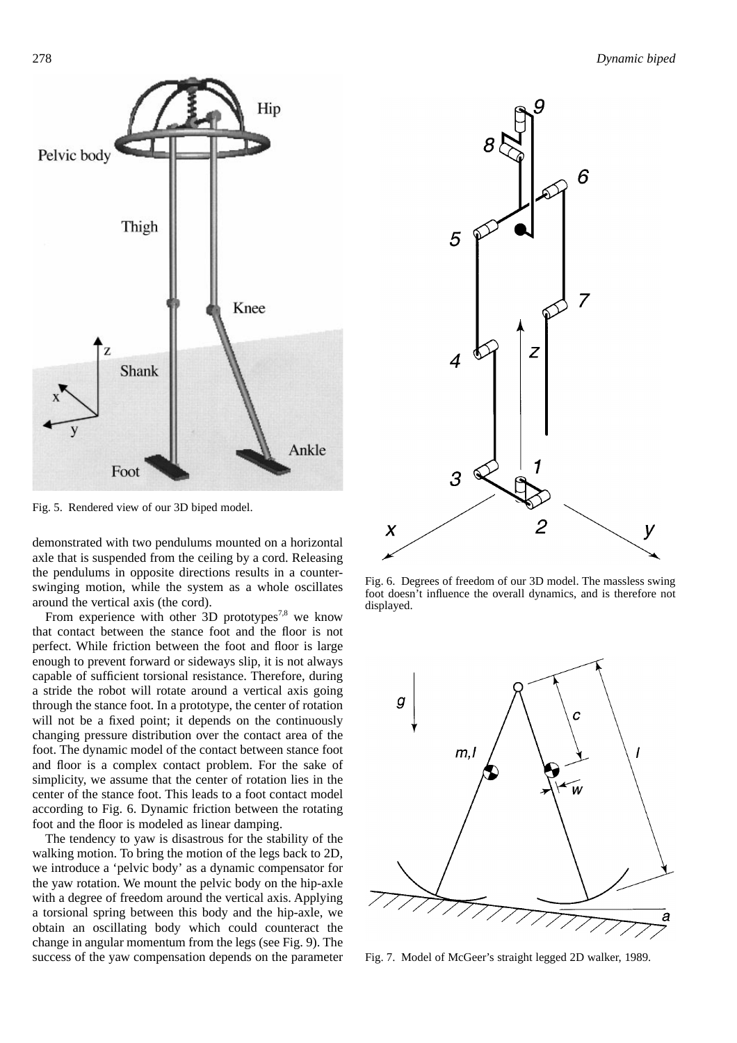

Fig. 5. Rendered view of our 3D biped model.

demonstrated with two pendulums mounted on a horizontal axle that is suspended from the ceiling by a cord. Releasing the pendulums in opposite directions results in a counterswinging motion, while the system as a whole oscillates around the vertical axis (the cord).

From experience with other 3D prototypes<sup>7,8</sup> we know that contact between the stance foot and the floor is not perfect. While friction between the foot and floor is large enough to prevent forward or sideways slip, it is not always capable of sufficient torsional resistance. Therefore, during a stride the robot will rotate around a vertical axis going through the stance foot. In a prototype, the center of rotation will not be a fixed point; it depends on the continuously changing pressure distribution over the contact area of the foot. The dynamic model of the contact between stance foot and floor is a complex contact problem. For the sake of simplicity, we assume that the center of rotation lies in the center of the stance foot. This leads to a foot contact model according to Fig. 6. Dynamic friction between the rotating foot and the floor is modeled as linear damping.

The tendency to yaw is disastrous for the stability of the walking motion. To bring the motion of the legs back to 2D, we introduce a 'pelvic body' as a dynamic compensator for the yaw rotation. We mount the pelvic body on the hip-axle with a degree of freedom around the vertical axis. Applying a torsional spring between this body and the hip-axle, we obtain an oscillating body which could counteract the change in angular momentum from the legs (see Fig. 9). The success of the yaw compensation depends on the parameter



Fig. 6. Degrees of freedom of our 3D model. The massless swing foot doesn't influence the overall dynamics, and is therefore not displayed.



Fig. 7. Model of McGeer's straight legged 2D walker, 1989.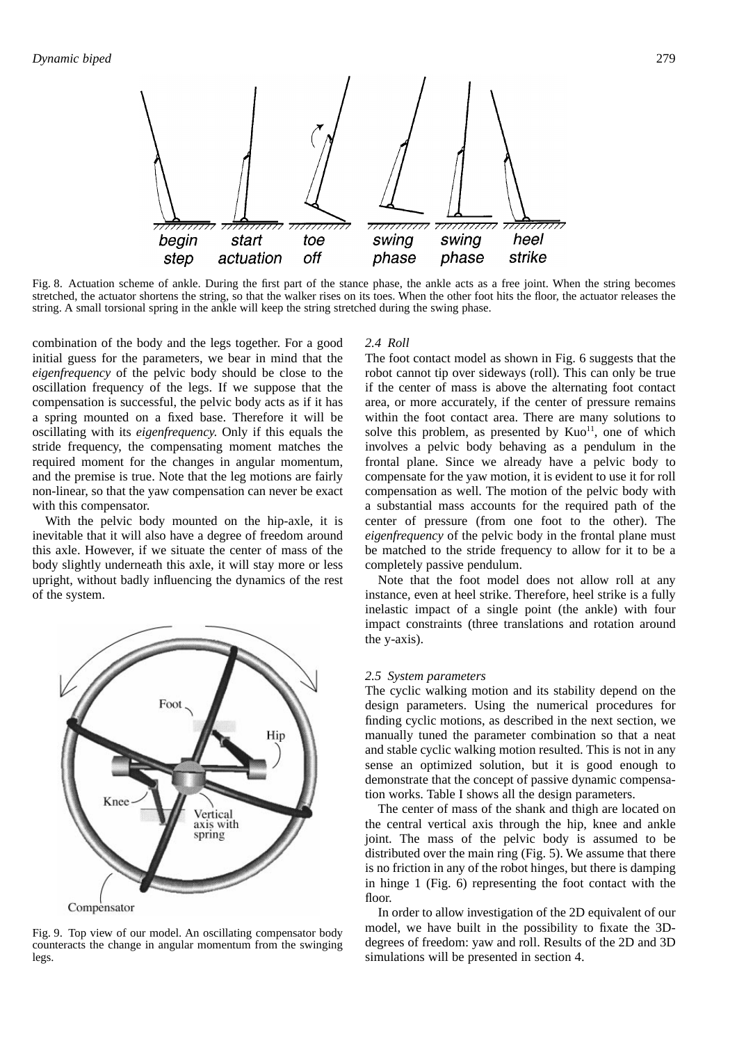

Fig. 8. Actuation scheme of ankle. During the first part of the stance phase, the ankle acts as a free joint. When the string becomes stretched, the actuator shortens the string, so that the walker rises on its toes. When the other foot hits the floor, the actuator releases the string. A small torsional spring in the ankle will keep the string stretched during the swing phase.

combination of the body and the legs together. For a good initial guess for the parameters, we bear in mind that the *eigenfrequency* of the pelvic body should be close to the oscillation frequency of the legs. If we suppose that the compensation is successful, the pelvic body acts as if it has a spring mounted on a fixed base. Therefore it will be oscillating with its *eigenfrequency*. Only if this equals the stride frequency, the compensating moment matches the required moment for the changes in angular momentum, and the premise is true. Note that the leg motions are fairly non-linear, so that the yaw compensation can never be exact with this compensator.

With the pelvic body mounted on the hip-axle, it is inevitable that it will also have a degree of freedom around this axle. However, if we situate the center of mass of the body slightly underneath this axle, it will stay more or less upright, without badly influencing the dynamics of the rest of the system.



Fig. 9. Top view of our model. An oscillating compensator body counteracts the change in angular momentum from the swinging legs.

## *2.4 Roll*

The foot contact model as shown in Fig. 6 suggests that the robot cannot tip over sideways (roll). This can only be true if the center of mass is above the alternating foot contact area, or more accurately, if the center of pressure remains within the foot contact area. There are many solutions to solve this problem, as presented by  $Kuo<sup>11</sup>$ , one of which involves a pelvic body behaving as a pendulum in the frontal plane. Since we already have a pelvic body to compensate for the yaw motion, it is evident to use it for roll compensation as well. The motion of the pelvic body with a substantial mass accounts for the required path of the center of pressure (from one foot to the other). The *eigenfrequency* of the pelvic body in the frontal plane must be matched to the stride frequency to allow for it to be a completely passive pendulum.

Note that the foot model does not allow roll at any instance, even at heel strike. Therefore, heel strike is a fully inelastic impact of a single point (the ankle) with four impact constraints (three translations and rotation around the y-axis).

#### *2.5 System parameters*

The cyclic walking motion and its stability depend on the design parameters. Using the numerical procedures for finding cyclic motions, as described in the next section, we manually tuned the parameter combination so that a neat and stable cyclic walking motion resulted. This is not in any sense an optimized solution, but it is good enough to demonstrate that the concept of passive dynamic compensation works. Table I shows all the design parameters.

The center of mass of the shank and thigh are located on the central vertical axis through the hip, knee and ankle joint. The mass of the pelvic body is assumed to be distributed over the main ring (Fig. 5). We assume that there is no friction in any of the robot hinges, but there is damping in hinge 1 (Fig. 6) representing the foot contact with the floor.

In order to allow investigation of the 2D equivalent of our model, we have built in the possibility to fixate the 3Ddegrees of freedom: yaw and roll. Results of the 2D and 3D simulations will be presented in section 4.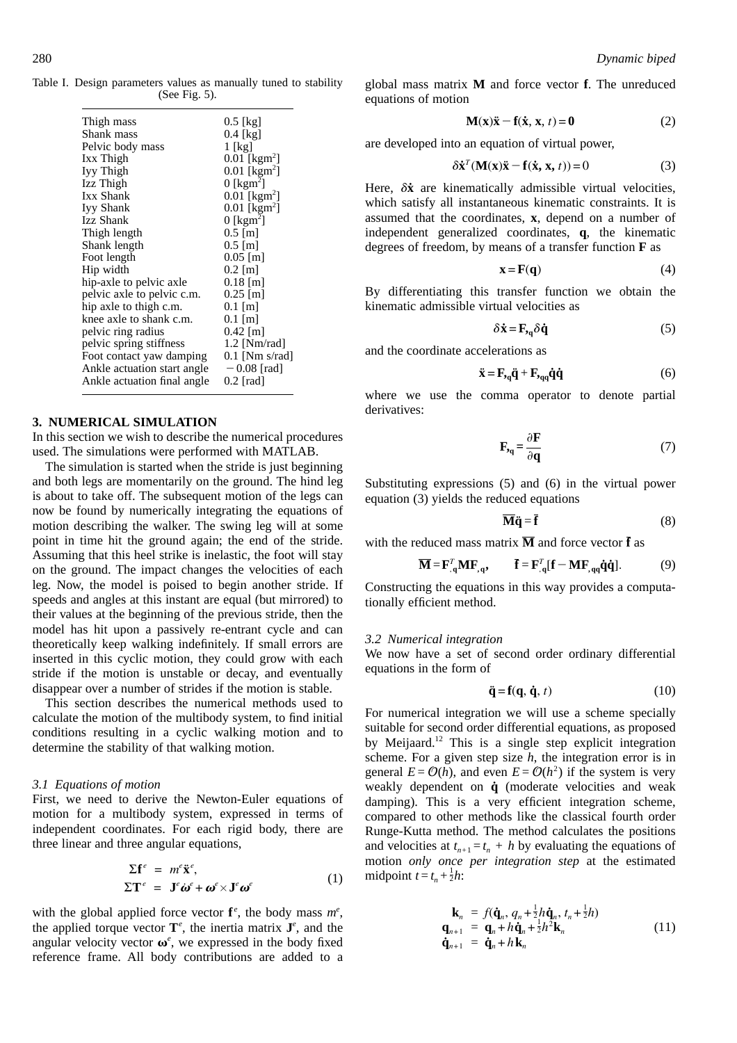Table I. Design parameters values as manually tuned to stability (See Fig. 5).

| Thigh mass                  | $0.5$ [kg]                 |
|-----------------------------|----------------------------|
| Shank mass                  | $0.4$ [kg]                 |
| Pelvic body mass            | $1$ [kg]                   |
| Ixx Thigh                   | $0.01$ [kgm <sup>2</sup> ] |
| Iyy Thigh                   | $0.01$ [kgm <sup>2</sup> ] |
| Izz Thigh                   | $0 \; [\text{kgm}^2]$      |
| Ixx Shank                   | $0.01$ [kgm <sup>2</sup> ] |
| Iyy Shank                   | $0.01$ [kgm <sup>2</sup> ] |
| Izz Shank                   | $0$ [kgm <sup>2</sup> ]    |
| Thigh length                | $0.5 \,[\mathrm{m}]$       |
| Shank length                | $0.5 \,[\mathrm{m}]$       |
| Foot length                 | $0.05 \,[\mathrm{m}]$      |
| Hip width                   | $0.2$ [m]                  |
| hip-axle to pelvic axle     | $0.18$ [m]                 |
| pelvic axle to pelvic c.m.  | $0.25$ [m]                 |
| hip axle to thigh c.m.      | $0.1$ [m]                  |
| knee axle to shank c.m.     | $0.1$ [m]                  |
| pelvic ring radius          | $0.42$ [m]                 |
| pelvic spring stiffness     | $1.2$ [Nm/rad]             |
| Foot contact yaw damping    | $0.1$ [Nm s/rad]           |
| Ankle actuation start angle | $-0.08$ [rad]              |
| Ankle actuation final angle | $0.2$ [rad]                |

## **3. NUMERICAL SIMULATION**

In this section we wish to describe the numerical procedures used. The simulations were performed with MATLAB.

The simulation is started when the stride is just beginning and both legs are momentarily on the ground. The hind leg is about to take off. The subsequent motion of the legs can now be found by numerically integrating the equations of motion describing the walker. The swing leg will at some point in time hit the ground again; the end of the stride. Assuming that this heel strike is inelastic, the foot will stay on the ground. The impact changes the velocities of each leg. Now, the model is poised to begin another stride. If speeds and angles at this instant are equal (but mirrored) to their values at the beginning of the previous stride, then the model has hit upon a passively re-entrant cycle and can theoretically keep walking indefinitely. If small errors are inserted in this cyclic motion, they could grow with each stride if the motion is unstable or decay, and eventually disappear over a number of strides if the motion is stable.

This section describes the numerical methods used to calculate the motion of the multibody system, to find initial conditions resulting in a cyclic walking motion and to determine the stability of that walking motion.

## *3.1 Equations of motion*

First, we need to derive the Newton-Euler equations of motion for a multibody system, expressed in terms of independent coordinates. For each rigid body, there are three linear and three angular equations,

$$
\Sigma \mathbf{f}^e = m^e \ddot{\mathbf{x}}^e,
$$
  
\n
$$
\Sigma \mathbf{T}^e = \mathbf{J}^e \dot{\boldsymbol{\omega}}^e + \boldsymbol{\omega}^e \times \mathbf{J}^e \boldsymbol{\omega}^e
$$
 (1)

with the global applied force vector  $f^e$ , the body mass  $m^e$ , the applied torque vector  $\mathbf{T}^e$ , the inertia matrix  $\mathbf{J}^e$ , and the angular velocity vector  $\boldsymbol{\omega}^e$ , we expressed in the body fixed reference frame. All body contributions are added to a global mass matrix **M** and force vector **f**. The unreduced equations of motion

$$
\mathbf{M}(\mathbf{x})\ddot{\mathbf{x}} - \mathbf{f}(\dot{\mathbf{x}}, \mathbf{x}, t) = \mathbf{0}
$$
 (2)

are developed into an equation of virtual power,

$$
\delta \dot{\mathbf{x}}^T (\mathbf{M}(\mathbf{x}) \ddot{\mathbf{x}} - \mathbf{f}(\dot{\mathbf{x}}, \mathbf{x}, t)) = 0 \tag{3}
$$

Here,  $\delta \dot{x}$  are kinematically admissible virtual velocities, which satisfy all instantaneous kinematic constraints. It is assumed that the coordinates, **x**, depend on a number of independent generalized coordinates, **q**, the kinematic degrees of freedom, by means of a transfer function **F** as

$$
\mathbf{x} = \mathbf{F}(\mathbf{q}) \tag{4}
$$

By differentiating this transfer function we obtain the kinematic admissible virtual velocities as

$$
\delta \dot{\mathbf{x}} = \mathbf{F}_{\mathbf{y}_q} \delta \dot{\mathbf{q}} \tag{5}
$$

and the coordinate accelerations as

$$
\ddot{\mathbf{x}} = \mathbf{F}_{\mathbf{q}} \ddot{\mathbf{q}} + \mathbf{F}_{\mathbf{q} \mathbf{q}} \dot{\mathbf{q}} \dot{\mathbf{q}} \tag{6}
$$

where we use the comma operator to denote partial derivatives:

$$
\mathbf{F}_{\mathbf{q}} = \frac{\partial \mathbf{F}}{\partial \mathbf{q}} \tag{7}
$$

Substituting expressions (5) and (6) in the virtual power equation (3) yields the reduced equations

$$
\overline{\mathbf{M}}\ddot{\mathbf{q}} = \overline{\mathbf{f}} \tag{8}
$$

with the reduced mass matrix  $\overline{M}$  and force vector  $\overline{f}$  as

$$
\overline{\mathbf{M}} = \mathbf{F}_{\mathbf{q}}^T \mathbf{M} \mathbf{F}_{\mathbf{q}}, \qquad \overline{\mathbf{f}} = \mathbf{F}_{\mathbf{q}}^T [\mathbf{f} - \mathbf{M} \mathbf{F}_{\mathbf{q} \mathbf{q}} \dot{\mathbf{q}} \dot{\mathbf{q}}]. \tag{9}
$$

Constructing the equations in this way provides a computationally efficient method.

#### *3.2 Numerical integration*

We now have a set of second order ordinary differential equations in the form of

$$
\ddot{\mathbf{q}} = \mathbf{f}(\mathbf{q}, \dot{\mathbf{q}}, t) \tag{10}
$$

For numerical integration we will use a scheme specially suitable for second order differential equations, as proposed by Meijaard.12 This is a single step explicit integration scheme. For a given step size  $h$ , the integration error is in general  $E = \mathcal{O}(h)$ , and even  $E = \mathcal{O}(h^2)$  if the system is very weakly dependent on **q˙** (moderate velocities and weak damping). This is a very efficient integration scheme, compared to other methods like the classical fourth order Runge-Kutta method. The method calculates the positions and velocities at  $t_{n+1} = t_n + h$  by evaluating the equations of motion *only once per integration step* at the estimated midpoint  $t = t_n + \frac{1}{2}h$ :

$$
\mathbf{k}_{n} = f(\dot{\mathbf{q}}_{n}, q_{n} + \frac{1}{2}h\dot{\mathbf{q}}_{n}, t_{n} + \frac{1}{2}h)
$$
  
\n
$$
\mathbf{q}_{n+1} = \mathbf{q}_{n} + h\dot{\mathbf{q}}_{n} + \frac{1}{2}h^{2}\mathbf{k}_{n}
$$
  
\n
$$
\dot{\mathbf{q}}_{n+1} = \dot{\mathbf{q}}_{n} + h\mathbf{k}_{n}
$$
\n(11)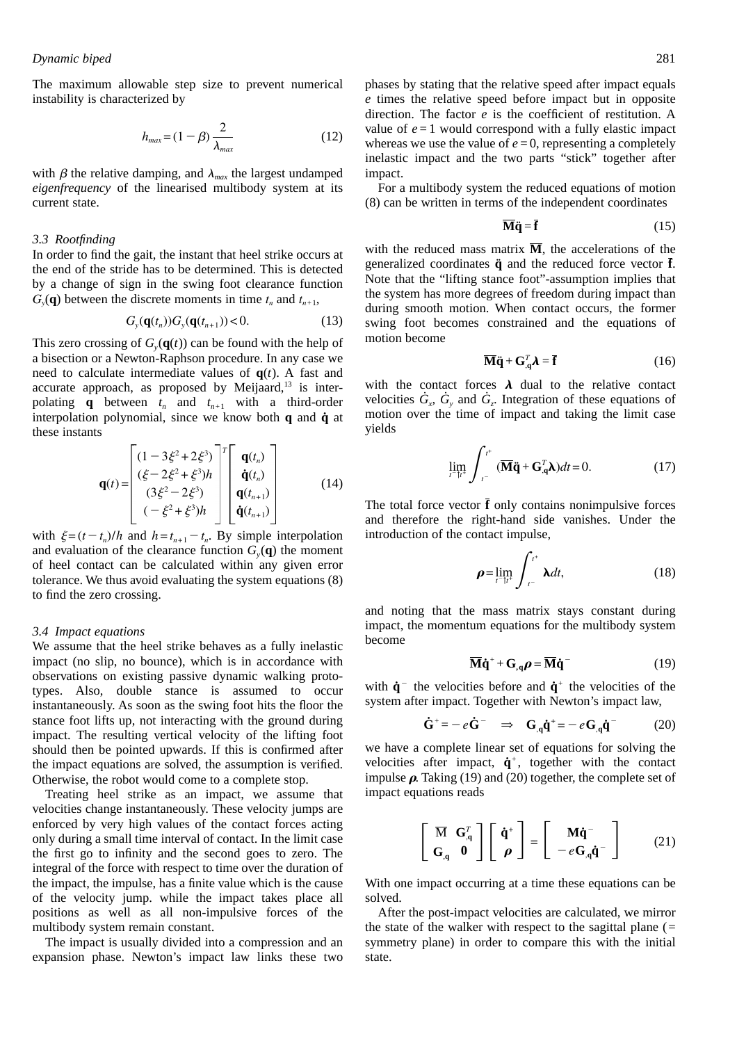The maximum allowable step size to prevent numerical instability is characterized by

$$
h_{\text{max}} = (1 - \beta) \frac{2}{\lambda_{\text{max}}} \tag{12}
$$

with  $\beta$  the relative damping, and  $\lambda_{max}$  the largest undamped *eigenfrequency* of the linearised multibody system at its current state.

## *3.3 Rootfinding*

In order to find the gait, the instant that heel strike occurs at the end of the stride has to be determined. This is detected by a change of sign in the swing foot clearance function  $G_v(\mathbf{q})$  between the discrete moments in time  $t_n$  and  $t_{n+1}$ ,

$$
G_{y}(\mathbf{q}(t_{n}))G_{y}(\mathbf{q}(t_{n+1}))<0.
$$
 (13)

This zero crossing of  $G_y(\mathbf{q}(t))$  can be found with the help of a bisection or a Newton-Raphson procedure. In any case we need to calculate intermediate values of  $q(t)$ . A fast and accurate approach, as proposed by Meijaard, $13$  is interpolating **q** between  $t_n$  and  $t_{n+1}$  with a third-order interpolation polynomial, since we know both **q** and **q˙** at these instants

$$
\mathbf{q}(t) = \begin{bmatrix} (1 - 3\xi^2 + 2\xi^3) \\ (\xi - 2\xi^2 + \xi^3)h \\ (3\xi^2 - 2\xi^3) \\ (-\xi^2 + \xi^3)h \end{bmatrix} \begin{bmatrix} \mathbf{q}(t_n) \\ \dot{\mathbf{q}}(t_n) \\ \mathbf{q}(t_{n+1}) \\ \dot{\mathbf{q}}(t_{n+1}) \end{bmatrix}
$$
(14)

with  $\xi = (t-t_n)/h$  and  $h = t_{n+1}-t_n$ . By simple interpolation and evaluation of the clearance function  $G_y(\mathbf{q})$  the moment of heel contact can be calculated within any given error tolerance. We thus avoid evaluating the system equations (8) to find the zero crossing.

#### *3.4 Impact equations*

We assume that the heel strike behaves as a fully inelastic impact (no slip, no bounce), which is in accordance with observations on existing passive dynamic walking prototypes. Also, double stance is assumed to occur instantaneously. As soon as the swing foot hits the floor the stance foot lifts up, not interacting with the ground during impact. The resulting vertical velocity of the lifting foot should then be pointed upwards. If this is confirmed after the impact equations are solved, the assumption is verified. Otherwise, the robot would come to a complete stop.

Treating heel strike as an impact, we assume that velocities change instantaneously. These velocity jumps are enforced by very high values of the contact forces acting only during a small time interval of contact. In the limit case the first go to infinity and the second goes to zero. The integral of the force with respect to time over the duration of the impact, the impulse, has a finite value which is the cause of the velocity jump. while the impact takes place all positions as well as all non-impulsive forces of the multibody system remain constant.

The impact is usually divided into a compression and an expansion phase. Newton's impact law links these two phases by stating that the relative speed after impact equals *e* times the relative speed before impact but in opposite direction. The factor *e* is the coefficient of restitution. A value of  $e = 1$  would correspond with a fully elastic impact whereas we use the value of  $e = 0$ , representing a completely inelastic impact and the two parts "stick" together after impact.

For a multibody system the reduced equations of motion (8) can be written in terms of the independent coordinates

$$
\overline{\mathbf{M}}\ddot{\mathbf{q}} = \overline{\mathbf{f}} \tag{15}
$$

with the reduced mass matrix  $\overline{M}$ , the accelerations of the generalized coordinates  $\ddot{\mathbf{q}}$  and the reduced force vector  $\mathbf{\bar{f}}$ . Note that the "lifting stance foot"-assumption implies that the system has more degrees of freedom during impact than during smooth motion. When contact occurs, the former swing foot becomes constrained and the equations of motion become

$$
\overline{\mathbf{M}}\ddot{\mathbf{q}} + \mathbf{G}_{\mathbf{q}}^T \boldsymbol{\lambda} = \overline{\mathbf{f}} \tag{16}
$$

with the contact forces  $\lambda$  dual to the relative contact velocities  $\dot{G}_r$ ,  $\dot{G}_v$  and  $\dot{G}_r$ . Integration of these equations of motion over the time of impact and taking the limit case yields

$$
\lim_{t^{-1}t^{+}}\int_{t^{-}}^{t^{+}}(\overline{\mathbf{M}}\ddot{\mathbf{q}}+\mathbf{G}_{\mathbf{q}}^{T}\mathbf{\lambda})dt=0.
$$
 (17)

The total force vector  $\mathbf{\bar{f}}$  only contains nonimpulsive forces and therefore the right-hand side vanishes. Under the introduction of the contact impulse,

$$
\rho = \lim_{t \to t^+} \int_{t^-}^{t^+} \lambda dt, \tag{18}
$$

and noting that the mass matrix stays constant during impact, the momentum equations for the multibody system become

$$
\overline{\mathbf{M}}\dot{\mathbf{q}}^+ + \mathbf{G}_{,q}\boldsymbol{\rho} = \overline{\mathbf{M}}\dot{\mathbf{q}}^-\tag{19}
$$

with  $\dot{\mathbf{q}}$ <sup>-</sup> the velocities before and  $\dot{\mathbf{q}}$ <sup>+</sup> the velocities of the system after impact. Together with Newton's impact law,

$$
\dot{\mathbf{G}}^{+} = -e\dot{\mathbf{G}}^{-} \Rightarrow \mathbf{G}_{,q}\dot{\mathbf{q}}^{+} = -e\mathbf{G}_{,q}\dot{\mathbf{q}}^{-} \tag{20}
$$

we have a complete linear set of equations for solving the velocities after impact,  $\dot{\mathbf{q}}^+$ , together with the contact impulse  $\rho$ . Taking (19) and (20) together, the complete set of impact equations reads

$$
\begin{bmatrix} \overline{\mathbf{M}} & \mathbf{G}_{,\mathbf{q}}^T \\ \mathbf{G}_{,\mathbf{q}} & \mathbf{0} \end{bmatrix} \begin{bmatrix} \dot{\mathbf{q}}^+ \\ \boldsymbol{\rho} \end{bmatrix} = \begin{bmatrix} \mathbf{M}\dot{\mathbf{q}}^- \\ -e\mathbf{G}_{,\mathbf{q}}\dot{\mathbf{q}}^- \end{bmatrix}
$$
 (21)

With one impact occurring at a time these equations can be solved.

After the post-impact velocities are calculated, we mirror the state of the walker with respect to the sagittal plane  $(=$ symmetry plane) in order to compare this with the initial state.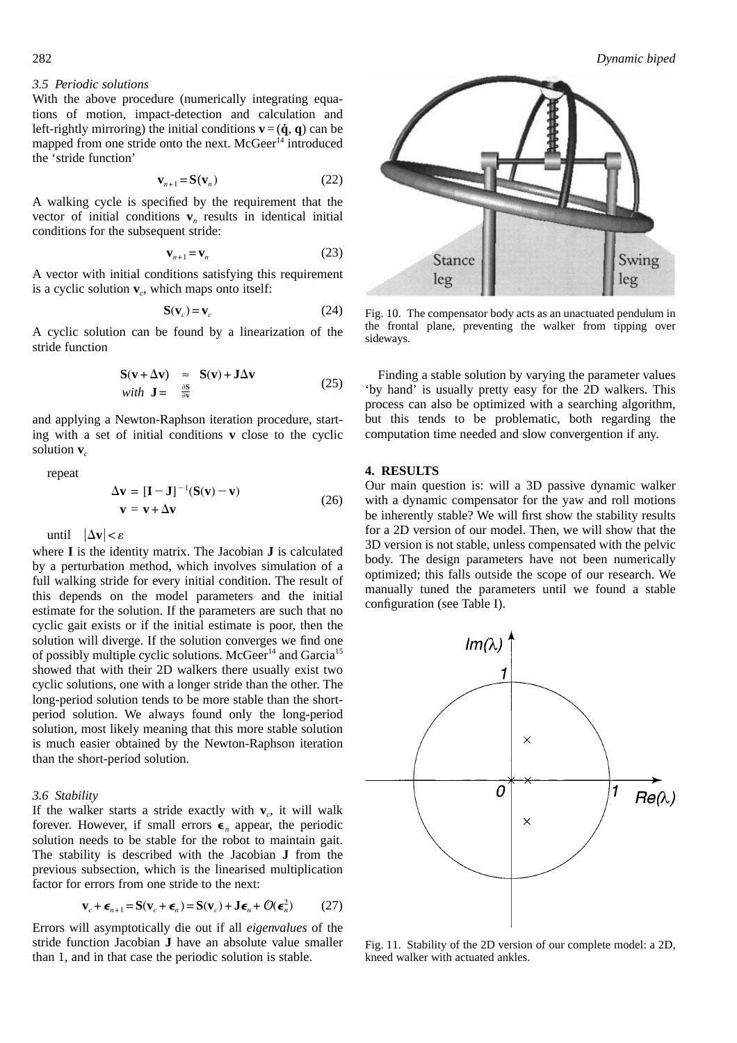## *3.5 Periodic solutions*

With the above procedure (numerically integrating equations of motion, impact-detection and calculation and left-rightly mirroring) the initial conditions  $\mathbf{v} = (\dot{\mathbf{q}}, \mathbf{q})$  can be mapped from one stride onto the next. McGeer<sup>14</sup> introduced the 'stride function'

$$
\mathbf{v}_{n+1} = \mathbf{S}(\mathbf{v}_n) \tag{22}
$$

A walking cycle is specified by the requirement that the vector of initial conditions **v***<sup>n</sup>* results in identical initial conditions for the subsequent stride:

$$
\mathbf{v}_{n+1} = \mathbf{v}_n \tag{23}
$$

A vector with initial conditions satisfying this requirement is a cyclic solution  $\mathbf{v}_c$ , which maps onto itself:

$$
\mathbf{S}(\mathbf{v}_c) = \mathbf{v}_c \tag{24}
$$

A cyclic solution can be found by a linearization of the stride function

$$
\begin{array}{rcl}\n\mathbf{S}(\mathbf{v} + \Delta \mathbf{v}) & \approx & \mathbf{S}(\mathbf{v}) + \mathbf{J} \Delta \mathbf{v} \\
\text{with } \mathbf{J} = & \frac{\partial \mathbf{S}}{\partial \mathbf{v}}\n\end{array} \tag{25}
$$

and applying a Newton-Raphson iteration procedure, starting with a set of initial conditions **v** close to the cyclic solution **v***<sup>c</sup>*

repeat

$$
\Delta \mathbf{v} = [\mathbf{I} - \mathbf{J}]^{-1} (\mathbf{S}(\mathbf{v}) - \mathbf{v})
$$
  
\n
$$
\mathbf{v} = \mathbf{v} + \Delta \mathbf{v}
$$
 (26)

until  $|\Delta v| < \varepsilon$ 

where **I** is the identity matrix. The Jacobian **J** is calculated by a perturbation method, which involves simulation of a full walking stride for every initial condition. The result of this depends on the model parameters and the initial estimate for the solution. If the parameters are such that no cyclic gait exists or if the initial estimate is poor, then the solution will diverge. If the solution converges we find one of possibly multiple cyclic solutions. McGeer<sup>14</sup> and Garcia<sup>15</sup> showed that with their 2D walkers there usually exist two cyclic solutions, one with a longer stride than the other. The long-period solution tends to be more stable than the shortperiod solution. We always found only the long-period solution, most likely meaning that this more stable solution is much easier obtained by the Newton-Raphson iteration than the short-period solution.

#### *3.6 Stability*

If the walker starts a stride exactly with  $\mathbf{v}_c$ , it will walk forever. However, if small errors  $\epsilon_n$  appear, the periodic solution needs to be stable for the robot to maintain gait. The stability is described with the Jacobian **J** from the previous subsection, which is the linearised multiplication factor for errors from one stride to the next:

$$
\mathbf{v}_c + \boldsymbol{\epsilon}_{n+1} = \mathbf{S}(\mathbf{v}_c + \boldsymbol{\epsilon}_n) = \mathbf{S}(\mathbf{v}_c) + \mathbf{J}\boldsymbol{\epsilon}_n + \mathcal{O}(\boldsymbol{\epsilon}_n^2)
$$
(27)

Errors will asymptotically die out if all *eigenvalues* of the stride function Jacobian **J** have an absolute value smaller than 1, and in that case the periodic solution is stable.



Fig. 10. The compensator body acts as an unactuated pendulum in the frontal plane, preventing the walker from tipping over sideways.

Finding a stable solution by varying the parameter values 'by hand' is usually pretty easy for the 2D walkers. This process can also be optimized with a searching algorithm, but this tends to be problematic, both regarding the computation time needed and slow convergention if any.

## **4. RESULTS**

Our main question is: will a 3D passive dynamic walker with a dynamic compensator for the yaw and roll motions be inherently stable? We will first show the stability results for a 2D version of our model. Then, we will show that the 3D version is not stable, unless compensated with the pelvic body. The design parameters have not been numerically optimized; this falls outside the scope of our research. We manually tuned the parameters until we found a stable configuration (see Table I).



Fig. 11. Stability of the 2D version of our complete model: a 2D, kneed walker with actuated ankles.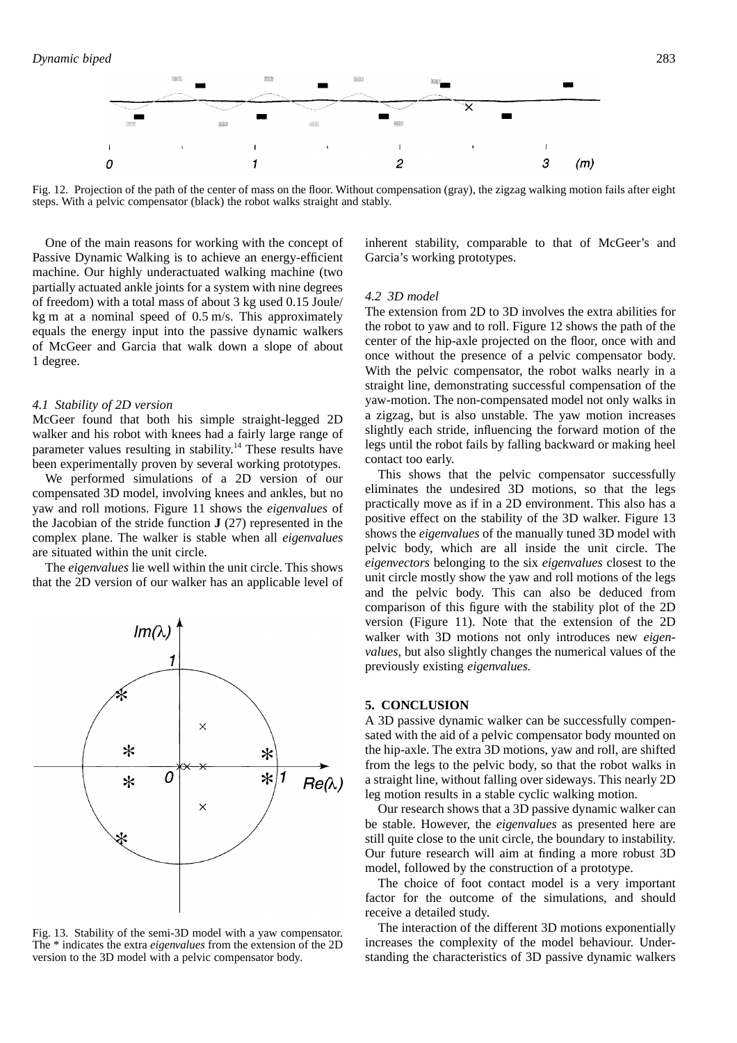

Fig. 12. Projection of the path of the center of mass on the floor. Without compensation (gray), the zigzag walking motion fails after eight steps. With a pelvic compensator (black) the robot walks straight and stably.

One of the main reasons for working with the concept of Passive Dynamic Walking is to achieve an energy-efficient machine. Our highly underactuated walking machine (two partially actuated ankle joints for a system with nine degrees of freedom) with a total mass of about 3 kg used 0.15 Joule/ kg m at a nominal speed of 0.5 m/s. This approximately equals the energy input into the passive dynamic walkers of McGeer and Garcia that walk down a slope of about 1 degree.

#### *4.1 Stability of 2D version*

McGeer found that both his simple straight-legged 2D walker and his robot with knees had a fairly large range of parameter values resulting in stability.14 These results have been experimentally proven by several working prototypes.

We performed simulations of a 2D version of our compensated 3D model, involving knees and ankles, but no yaw and roll motions. Figure 11 shows the *eigenvalues* of the Jacobian of the stride function **J** (27) represented in the complex plane. The walker is stable when all *eigenvalues* are situated within the unit circle.

The *eigenvalues* lie well within the unit circle. This shows that the 2D version of our walker has an applicable level of



Fig. 13. Stability of the semi-3D model with a yaw compensator. The \* indicates the extra *eigenvalues* from the extension of the 2D version to the 3D model with a pelvic compensator body.

inherent stability, comparable to that of McGeer's and Garcia's working prototypes.

## *4.2 3D model*

The extension from 2D to 3D involves the extra abilities for the robot to yaw and to roll. Figure 12 shows the path of the center of the hip-axle projected on the floor, once with and once without the presence of a pelvic compensator body. With the pelvic compensator, the robot walks nearly in a straight line, demonstrating successful compensation of the yaw-motion. The non-compensated model not only walks in a zigzag, but is also unstable. The yaw motion increases slightly each stride, influencing the forward motion of the legs until the robot fails by falling backward or making heel contact too early.

This shows that the pelvic compensator successfully eliminates the undesired 3D motions, so that the legs practically move as if in a 2D environment. This also has a positive effect on the stability of the 3D walker. Figure 13 shows the *eigenvalues* of the manually tuned 3D model with pelvic body, which are all inside the unit circle. The *eigenvectors* belonging to the six *eigenvalues* closest to the unit circle mostly show the yaw and roll motions of the legs and the pelvic body. This can also be deduced from comparison of this figure with the stability plot of the 2D version (Figure 11). Note that the extension of the 2D walker with 3D motions not only introduces new *eigenvalues*, but also slightly changes the numerical values of the previously existing *eigenvalues.*

#### **5. CONCLUSION**

A 3D passive dynamic walker can be successfully compensated with the aid of a pelvic compensator body mounted on the hip-axle. The extra 3D motions, yaw and roll, are shifted from the legs to the pelvic body, so that the robot walks in a straight line, without falling over sideways. This nearly 2D leg motion results in a stable cyclic walking motion.

Our research shows that a 3D passive dynamic walker can be stable. However, the *eigenvalues* as presented here are still quite close to the unit circle, the boundary to instability. Our future research will aim at finding a more robust 3D model, followed by the construction of a prototype.

The choice of foot contact model is a very important factor for the outcome of the simulations, and should receive a detailed study.

The interaction of the different 3D motions exponentially increases the complexity of the model behaviour. Understanding the characteristics of 3D passive dynamic walkers